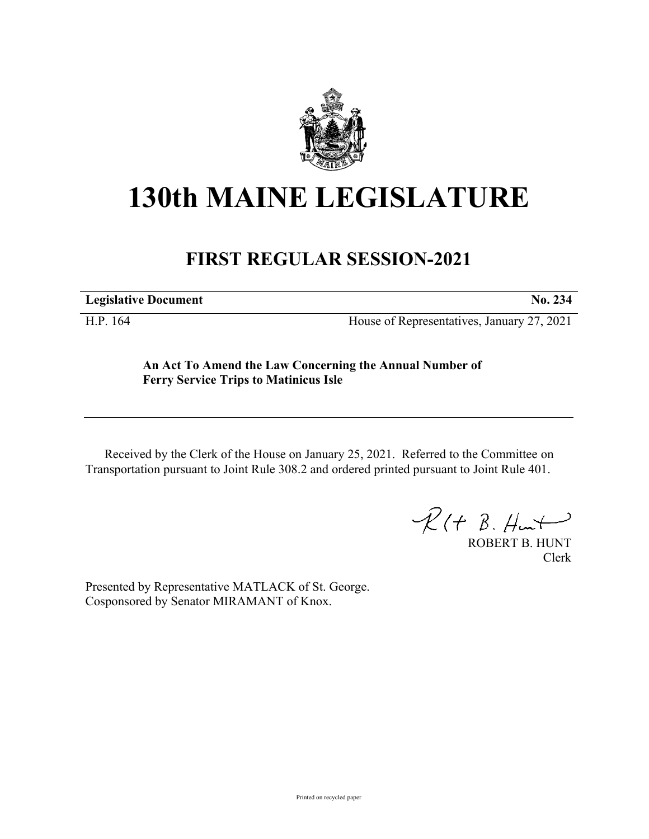

# **130th MAINE LEGISLATURE**

## **FIRST REGULAR SESSION-2021**

**Legislative Document No. 234**

H.P. 164 House of Representatives, January 27, 2021

**An Act To Amend the Law Concerning the Annual Number of Ferry Service Trips to Matinicus Isle**

Received by the Clerk of the House on January 25, 2021. Referred to the Committee on Transportation pursuant to Joint Rule 308.2 and ordered printed pursuant to Joint Rule 401.

 $\mathcal{R}(t \; \mathcal{B}, \#m)$ 

ROBERT B. HUNT Clerk

Presented by Representative MATLACK of St. George. Cosponsored by Senator MIRAMANT of Knox.